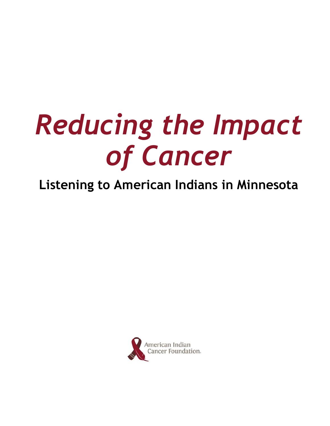# *Reducing the Impact of Cancer*

# **Listening to American Indians in Minnesota**

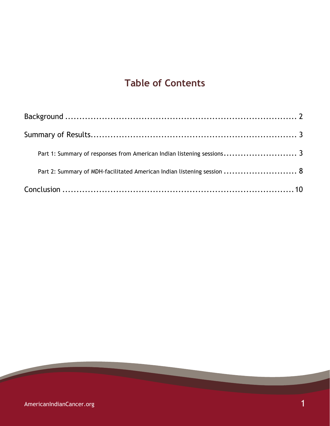# **Table of Contents**

| Part 1: Summary of responses from American Indian listening sessions 3  |  |
|-------------------------------------------------------------------------|--|
| Part 2: Summary of MDH-facilitated American Indian listening session  8 |  |
|                                                                         |  |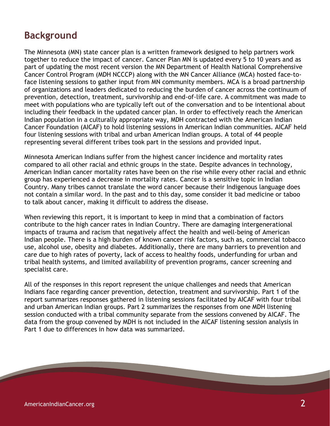# **Background**

The Minnesota (MN) state cancer plan is a written framework designed to help partners work together to reduce the impact of cancer. Cancer Plan MN is updated every 5 to 10 years and as part of updating the most recent version the MN Department of Health National Comprehensive Cancer Control Program (MDH NCCCP) along with the MN Cancer Alliance (MCA) hosted face-toface listening sessions to gather input from MN community members. MCA is a broad partnership of organizations and leaders dedicated to reducing the burden of cancer across the continuum of prevention, detection, treatment, survivorship and end-of-life care. A commitment was made to meet with populations who are typically left out of the conversation and to be intentional about including their feedback in the updated cancer plan. In order to effectively reach the American Indian population in a culturally appropriate way, MDH contracted with the American Indian Cancer Foundation (AICAF) to hold listening sessions in American Indian communities. AICAF held four listening sessions with tribal and urban American Indian groups. A total of 44 people representing several different tribes took part in the sessions and provided input.

Minnesota American Indians suffer from the highest cancer incidence and mortality rates compared to all other racial and ethnic groups in the state. Despite advances in technology, American Indian cancer mortality rates have been on the rise while every other racial and ethnic group has experienced a decrease in mortality rates. Cancer is a sensitive topic in Indian Country. Many tribes cannot translate the word cancer because their Indigenous language does not contain a similar word. In the past and to this day, some consider it bad medicine or taboo to talk about cancer, making it difficult to address the disease.

When reviewing this report, it is important to keep in mind that a combination of factors contribute to the high cancer rates in Indian Country. There are damaging intergenerational impacts of trauma and racism that negatively affect the health and well-being of American Indian people. There is a high burden of known cancer risk factors, such as, commercial tobacco use, alcohol use, obesity and diabetes. Additionally, there are many barriers to prevention and care due to high rates of poverty, lack of access to healthy foods, underfunding for urban and tribal health systems, and limited availability of prevention programs, cancer screening and specialist care.

All of the responses in this report represent the unique challenges and needs that American Indians face regarding cancer prevention, detection, treatment and survivorship. Part 1 of the report summarizes responses gathered in listening sessions facilitated by AICAF with four tribal and urban American Indian groups. Part 2 summarizes the responses from one MDH listening session conducted with a tribal community separate from the sessions convened by AICAF. The data from the group convened by MDH is not included in the AICAF listening session analysis in Part 1 due to differences in how data was summarized.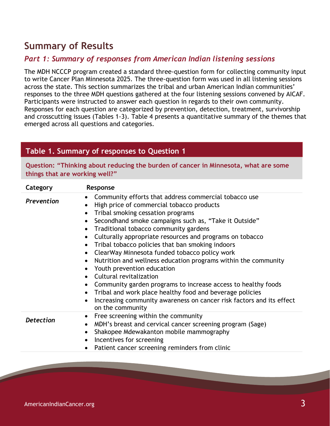# **Summary of Results**

#### *Part 1: Summary of responses from American Indian listening sessions*

The MDH NCCCP program created a standard three-question form for collecting community input to write Cancer Plan Minnesota 2025. The three-question form was used in all listening sessions across the state. This section summarizes the tribal and urban American Indian communities' responses to the three MDH questions gathered at the four listening sessions convened by AICAF. Participants were instructed to answer each question in regards to their own community. Responses for each question are categorized by prevention, detection, treatment, survivorship and crosscutting issues (Tables 1-3). Table 4 presents a quantitative summary of the themes that emerged across all questions and categories.

#### **Table 1. Summary of responses to Question 1**

**Question: "Thinking about reducing the burden of cancer in Minnesota, what are some things that are working well?"**

| Category         | Response                                                                                                                                                                                                                                                                                                                                                                                                                                                                                                                                                                                                                                                                                                                                                                                 |
|------------------|------------------------------------------------------------------------------------------------------------------------------------------------------------------------------------------------------------------------------------------------------------------------------------------------------------------------------------------------------------------------------------------------------------------------------------------------------------------------------------------------------------------------------------------------------------------------------------------------------------------------------------------------------------------------------------------------------------------------------------------------------------------------------------------|
| Prevention       | Community efforts that address commercial tobacco use<br>High price of commercial tobacco products<br>Tribal smoking cessation programs<br>$\bullet$<br>Secondhand smoke campaigns such as, "Take it Outside"<br>$\bullet$<br>Traditional tobacco community gardens<br>Culturally appropriate resources and programs on tobacco<br>Tribal tobacco policies that ban smoking indoors<br>ClearWay Minnesota funded tobacco policy work<br>Nutrition and wellness education programs within the community<br>Youth prevention education<br>Cultural revitalization<br>Community garden programs to increase access to healthy foods<br>Tribal and work place healthy food and beverage policies<br>Increasing community awareness on cancer risk factors and its effect<br>on the community |
| <b>Detection</b> | Free screening within the community<br>$\bullet$<br>MDH's breast and cervical cancer screening program (Sage)<br>$\bullet$<br>Shakopee Mdewakanton mobile mammography<br>Incentives for screening<br>$\bullet$<br>Patient cancer screening reminders from clinic                                                                                                                                                                                                                                                                                                                                                                                                                                                                                                                         |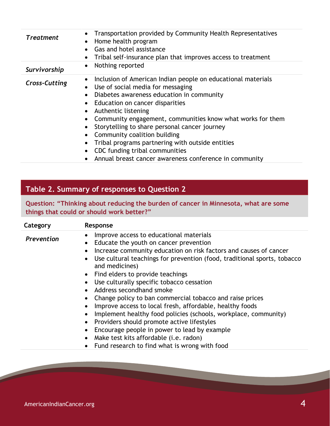| <b>Treatment</b>     | Transportation provided by Community Health Representatives<br>Home health program<br>Gas and hotel assistance<br>Tribal self-insurance plan that improves access to treatment                                                                                                                                                                                                                                                                                                                                         |
|----------------------|------------------------------------------------------------------------------------------------------------------------------------------------------------------------------------------------------------------------------------------------------------------------------------------------------------------------------------------------------------------------------------------------------------------------------------------------------------------------------------------------------------------------|
| Survivorship         | Nothing reported<br>$\bullet$                                                                                                                                                                                                                                                                                                                                                                                                                                                                                          |
| <b>Cross-Cutting</b> | Inclusion of American Indian people on educational materials<br>Use of social media for messaging<br>$\bullet$<br>Diabetes awareness education in community<br>• Education on cancer disparities<br>Authentic listening<br>Community engagement, communities know what works for them<br>Storytelling to share personal cancer journey<br>Community coalition building<br>Tribal programs partnering with outside entities<br>CDC funding tribal communities<br>Annual breast cancer awareness conference in community |

## **Table 2. Summary of responses to Question 2**

**Question: "Thinking about reducing the burden of cancer in Minnesota, what are some things that could or should work better?"**

| Category   | Response                                                                                                                                                                                                                                                                                                                                                                                                                                                                                                                                                                                                                                                                                                                                                                                                                                                                                |
|------------|-----------------------------------------------------------------------------------------------------------------------------------------------------------------------------------------------------------------------------------------------------------------------------------------------------------------------------------------------------------------------------------------------------------------------------------------------------------------------------------------------------------------------------------------------------------------------------------------------------------------------------------------------------------------------------------------------------------------------------------------------------------------------------------------------------------------------------------------------------------------------------------------|
| Prevention | Improve access to educational materials<br>$\bullet$<br>Educate the youth on cancer prevention<br>$\bullet$<br>Increase community education on risk factors and causes of cancer<br>$\bullet$<br>Use cultural teachings for prevention (food, traditional sports, tobacco<br>$\bullet$<br>and medicines)<br>Find elders to provide teachings<br>$\bullet$<br>Use culturally specific tobacco cessation<br>Address secondhand smoke<br>Change policy to ban commercial tobacco and raise prices<br>Improve access to local fresh, affordable, healthy foods<br>$\bullet$<br>Implement healthy food policies (schools, workplace, community)<br>$\bullet$<br>Providers should promote active lifestyles<br>Encourage people in power to lead by example<br>$\bullet$<br>Make test kits affordable (i.e. radon)<br>$\bullet$<br>Fund research to find what is wrong with food<br>$\bullet$ |
|            |                                                                                                                                                                                                                                                                                                                                                                                                                                                                                                                                                                                                                                                                                                                                                                                                                                                                                         |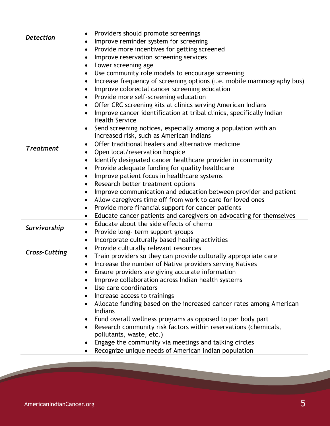| <b>Detection</b>     | Providers should promote screenings<br>Improve reminder system for screening<br>Provide more incentives for getting screened<br>$\bullet$<br>Improve reservation screening services<br>$\bullet$<br>Lower screening age<br>Use community role models to encourage screening<br>$\bullet$<br>Increase frequency of screening options (i.e. mobile mammography bus)<br>Improve colorectal cancer screening education<br>$\bullet$<br>Provide more self-screening education<br>Offer CRC screening kits at clinics serving American Indians<br>$\bullet$                                                                                                                                                              |
|----------------------|--------------------------------------------------------------------------------------------------------------------------------------------------------------------------------------------------------------------------------------------------------------------------------------------------------------------------------------------------------------------------------------------------------------------------------------------------------------------------------------------------------------------------------------------------------------------------------------------------------------------------------------------------------------------------------------------------------------------|
|                      | Improve cancer identification at tribal clinics, specifically Indian<br>$\bullet$<br><b>Health Service</b><br>Send screening notices, especially among a population with an<br>increased risk, such as American Indians                                                                                                                                                                                                                                                                                                                                                                                                                                                                                            |
| <b>Treatment</b>     | Offer traditional healers and alternative medicine<br>$\bullet$<br>Open local/reservation hospice<br>Identify designated cancer healthcare provider in community<br>٠<br>Provide adequate funding for quality healthcare<br>$\bullet$<br>Improve patient focus in healthcare systems<br>٠<br>Research better treatment options<br>$\bullet$<br>Improve communication and education between provider and patient<br>٠<br>Allow caregivers time off from work to care for loved ones<br>$\bullet$<br>Provide more financial support for cancer patients<br>Educate cancer patients and caregivers on advocating for themselves                                                                                       |
| Survivorship         | Educate about the side effects of chemo<br>٠<br>Provide long- term support groups<br>Incorporate culturally based healing activities                                                                                                                                                                                                                                                                                                                                                                                                                                                                                                                                                                               |
| <b>Cross-Cutting</b> | Provide culturally relevant resources<br>Train providers so they can provide culturally appropriate care<br>Increase the number of Native providers serving Natives<br>Ensure providers are giving accurate information<br>Improve collaboration across Indian health systems<br>Use care coordinators<br>Increase access to trainings<br>Allocate funding based on the increased cancer rates among American<br><b>Indians</b><br>Fund overall wellness programs as opposed to per body part<br>Research community risk factors within reservations (chemicals,<br>pollutants, waste, etc.)<br>Engage the community via meetings and talking circles<br>٠<br>Recognize unique needs of American Indian population |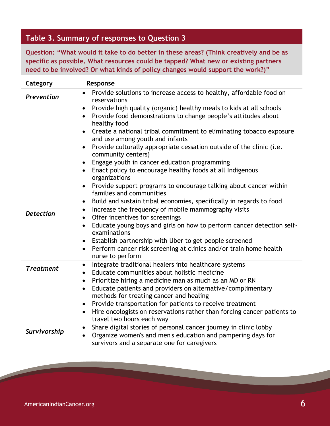#### **Table 3. Summary of responses to Question 3**

**Question: "What would it take to do better in these areas? (Think creatively and be as specific as possible. What resources could be tapped? What new or existing partners need to be involved? Or what kinds of policy changes would support the work?)"**

| Category         | Response                                                                                                                                                                                                                                                                                                                                                                                                                                                                                                                                                                                                                                                                                                                                                                                                                                                                        |
|------------------|---------------------------------------------------------------------------------------------------------------------------------------------------------------------------------------------------------------------------------------------------------------------------------------------------------------------------------------------------------------------------------------------------------------------------------------------------------------------------------------------------------------------------------------------------------------------------------------------------------------------------------------------------------------------------------------------------------------------------------------------------------------------------------------------------------------------------------------------------------------------------------|
| Prevention       | Provide solutions to increase access to healthy, affordable food on<br>$\bullet$<br>reservations<br>Provide high quality (organic) healthy meals to kids at all schools<br>$\bullet$<br>Provide food demonstrations to change people's attitudes about<br>$\bullet$<br>healthy food<br>Create a national tribal commitment to eliminating tobacco exposure<br>$\bullet$<br>and use among youth and infants<br>Provide culturally appropriate cessation outside of the clinic (i.e.<br>$\bullet$<br>community centers)<br>Engage youth in cancer education programming<br>$\bullet$<br>Enact policy to encourage healthy foods at all Indigenous<br>$\bullet$<br>organizations<br>Provide support programs to encourage talking about cancer within<br>$\bullet$<br>families and communities<br>Build and sustain tribal economies, specifically in regards to food<br>$\bullet$ |
| <b>Detection</b> | Increase the frequency of mobile mammography visits<br>$\bullet$<br>Offer incentives for screenings<br>Educate young boys and girls on how to perform cancer detection self-<br>$\bullet$<br>examinations<br>Establish partnership with Uber to get people screened<br>$\bullet$<br>Perform cancer risk screening at clinics and/or train home health<br>$\bullet$<br>nurse to perform                                                                                                                                                                                                                                                                                                                                                                                                                                                                                          |
| <b>Treatment</b> | Integrate traditional healers into healthcare systems<br>$\bullet$<br>Educate communities about holistic medicine<br>$\bullet$<br>Prioritize hiring a medicine man as much as an MD or RN<br>$\bullet$<br>Educate patients and providers on alternative/complimentary<br>$\bullet$<br>methods for treating cancer and healing<br>Provide transportation for patients to receive treatment<br>$\bullet$<br>Hire oncologists on reservations rather than forcing cancer patients to<br>$\bullet$<br>travel two hours each way                                                                                                                                                                                                                                                                                                                                                     |
| Survivorship     | Share digital stories of personal cancer journey in clinic lobby<br>$\bullet$<br>Organize women's and men's education and pampering days for<br>$\bullet$<br>survivors and a separate one for caregivers                                                                                                                                                                                                                                                                                                                                                                                                                                                                                                                                                                                                                                                                        |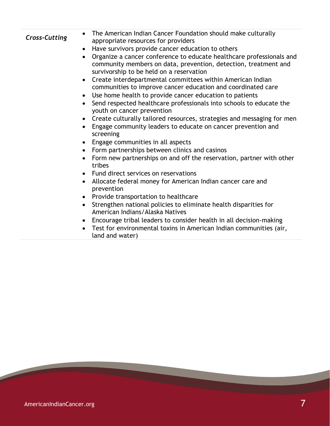| <b>Cross-Cutting</b> | The American Indian Cancer Foundation should make culturally<br>appropriate resources for providers<br>Have survivors provide cancer education to others<br>$\bullet$<br>Organize a cancer conference to educate healthcare professionals and<br>community members on data, prevention, detection, treatment and<br>survivorship to be held on a reservation<br>Create interdepartmental committees within American Indian<br>$\bullet$<br>communities to improve cancer education and coordinated care |
|----------------------|---------------------------------------------------------------------------------------------------------------------------------------------------------------------------------------------------------------------------------------------------------------------------------------------------------------------------------------------------------------------------------------------------------------------------------------------------------------------------------------------------------|
|                      | Use home health to provide cancer education to patients<br>$\bullet$                                                                                                                                                                                                                                                                                                                                                                                                                                    |
|                      | Send respected healthcare professionals into schools to educate the<br>youth on cancer prevention                                                                                                                                                                                                                                                                                                                                                                                                       |
|                      | Create culturally tailored resources, strategies and messaging for men                                                                                                                                                                                                                                                                                                                                                                                                                                  |
|                      | Engage community leaders to educate on cancer prevention and<br>screening                                                                                                                                                                                                                                                                                                                                                                                                                               |
|                      | Engage communities in all aspects                                                                                                                                                                                                                                                                                                                                                                                                                                                                       |
|                      | Form partnerships between clinics and casinos<br>$\bullet$                                                                                                                                                                                                                                                                                                                                                                                                                                              |
|                      | Form new partnerships on and off the reservation, partner with other<br>$\bullet$<br>tribes                                                                                                                                                                                                                                                                                                                                                                                                             |
|                      | Fund direct services on reservations<br>$\bullet$                                                                                                                                                                                                                                                                                                                                                                                                                                                       |
|                      | Allocate federal money for American Indian cancer care and<br>$\bullet$<br>prevention                                                                                                                                                                                                                                                                                                                                                                                                                   |
|                      | Provide transportation to healthcare<br>$\bullet$                                                                                                                                                                                                                                                                                                                                                                                                                                                       |
|                      | Strengthen national policies to eliminate health disparities for<br>$\bullet$<br>American Indians/Alaska Natives                                                                                                                                                                                                                                                                                                                                                                                        |
|                      | Encourage tribal leaders to consider health in all decision-making<br>$\bullet$                                                                                                                                                                                                                                                                                                                                                                                                                         |
|                      | Test for environmental toxins in American Indian communities (air,<br>land and water)                                                                                                                                                                                                                                                                                                                                                                                                                   |

 $\overline{\phantom{0}}$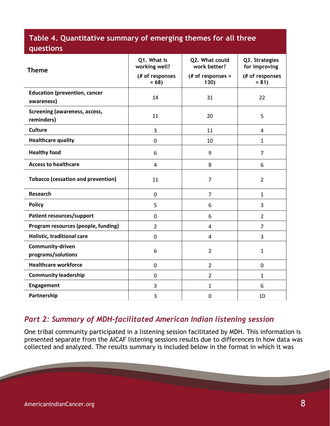### **Table 4. Quantitative summary of emerging themes for all three questions**

| <b>Theme</b>                                       | Q1. What is<br>working well?<br>(# of responses<br>$= 68$ | Q2. What could<br>work better?<br>(# of responses =<br>130) | Q3. Strategies<br>for improving<br>(# of responses<br>$= 81$ |
|----------------------------------------------------|-----------------------------------------------------------|-------------------------------------------------------------|--------------------------------------------------------------|
| <b>Education (prevention, cancer</b><br>awareness) | 14                                                        | 31                                                          | 22                                                           |
| <b>Screening (awareness, access,</b><br>reminders) | 11                                                        | 20                                                          | 5                                                            |
| <b>Culture</b>                                     | 3                                                         | 11                                                          | 4                                                            |
| <b>Healthcare quality</b>                          | 0                                                         | 10                                                          | $\mathbf{1}$                                                 |
| <b>Healthy food</b>                                | 6                                                         | 9                                                           | $\overline{7}$                                               |
| <b>Access to healthcare</b>                        | $\overline{4}$                                            | 8                                                           | 6                                                            |
| <b>Tobacco (cessation and prevention)</b>          | 11                                                        | 7                                                           | $\overline{2}$                                               |
| <b>Research</b>                                    | 0                                                         | $\overline{7}$                                              | $\mathbf{1}$                                                 |
| <b>Policy</b>                                      | 5                                                         | 6                                                           | 3                                                            |
| Patient resources/support                          | 0                                                         | 6                                                           | $\overline{2}$                                               |
| Program resources (people, funding)                | $\overline{2}$                                            | 4                                                           | $\overline{7}$                                               |
| Holistic, traditional care                         | $\mathbf 0$                                               | 4                                                           | 3                                                            |
| Community-driven<br>programs/solutions             | 6                                                         | $\overline{2}$                                              | $\mathbf{1}$                                                 |
| <b>Healthcare workforce</b>                        | $\mathbf 0$                                               | 2                                                           | 0                                                            |
| <b>Community leadership</b>                        | $\mathbf 0$                                               | 2                                                           | $\mathbf{1}$                                                 |
| Engagement                                         | 3                                                         | 1                                                           | 6                                                            |
| Partnership                                        | 3                                                         | $\mathbf 0$                                                 | 10                                                           |

#### *Part 2: Summary of MDH-facilitated American Indian listening session*

One tribal community participated in a listening session facilitated by MDH. This information is presented separate from the AICAF listening sessions results due to differences in how data was collected and analyzed. The results summary is included below in the format in which it was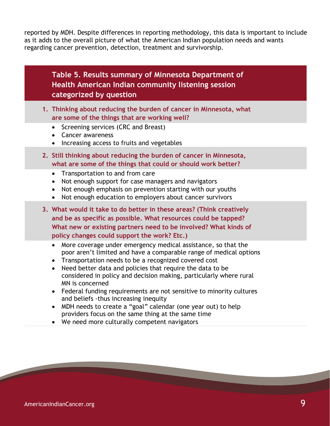reported by MDH. Despite differences in reporting methodology, this data is important to include as it adds to the overall picture of what the American Indian population needs and wants regarding cancer prevention, detection, treatment and survivorship.

#### **Table 5. Results summary of Minnesota Department of Health American Indian community listening session categorized by question**

- **1. Thinking about reducing the burden of cancer in Minnesota, what are some of the things that are working well?**
	- Screening services (CRC and Breast)
	- Cancer awareness
	- Increasing access to fruits and vegetables
- **2. Still thinking about reducing the burden of cancer in Minnesota, what are some of the things that could or should work better?**
	- Transportation to and from care
	- Not enough support for case managers and navigators
	- Not enough emphasis on prevention starting with our youths
	- Not enough education to employers about cancer survivors
- **3. What would it take to do better in these areas? (Think creatively and be as specific as possible. What resources could be tapped? What new or existing partners need to be involved? What kinds of policy changes could support the work? Etc.)**
	- More coverage under emergency medical assistance, so that the poor aren't limited and have a comparable range of medical options
	- Transportation needs to be a recognized covered cost
	- Need better data and policies that require the data to be considered in policy and decision making, particularly where rural MN is concerned
	- Federal funding requirements are not sensitive to minority cultures and beliefs -thus increasing inequity
	- MDH needs to create a "goal" calendar (one year out) to help providers focus on the same thing at the same time
	- We need more culturally competent navigators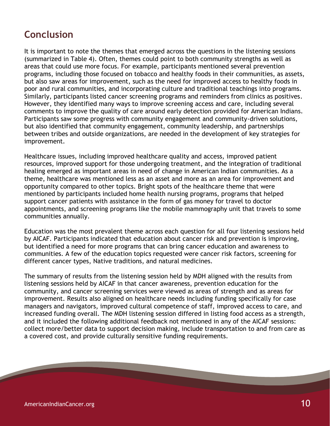# **Conclusion**

It is important to note the themes that emerged across the questions in the listening sessions (summarized in Table 4). Often, themes could point to both community strengths as well as areas that could use more focus. For example, participants mentioned several prevention programs, including those focused on tobacco and healthy foods in their communities, as assets, but also saw areas for improvement, such as the need for improved access to healthy foods in poor and rural communities, and incorporating culture and traditional teachings into programs. Similarly, participants listed cancer screening programs and reminders from clinics as positives. However, they identified many ways to improve screening access and care, including several comments to improve the quality of care around early detection provided for American Indians. Participants saw some progress with community engagement and community-driven solutions, but also identified that community engagement, community leadership, and partnerships between tribes and outside organizations, are needed in the development of key strategies for improvement.

Healthcare issues, including improved healthcare quality and access, improved patient resources, improved support for those undergoing treatment, and the integration of traditional healing emerged as important areas in need of change in American Indian communities. As a theme, healthcare was mentioned less as an asset and more as an area for improvement and opportunity compared to other topics. Bright spots of the healthcare theme that were mentioned by participants included home health nursing programs, programs that helped support cancer patients with assistance in the form of gas money for travel to doctor appointments, and screening programs like the mobile mammography unit that travels to some communities annually.

Education was the most prevalent theme across each question for all four listening sessions held by AICAF. Participants indicated that education about cancer risk and prevention is improving, but identified a need for more programs that can bring cancer education and awareness to communities. A few of the education topics requested were cancer risk factors, screening for different cancer types, Native traditions, and natural medicines.

The summary of results from the listening session held by MDH aligned with the results from listening sessions held by AICAF in that cancer awareness, prevention education for the community, and cancer screening services were viewed as areas of strength and as areas for improvement. Results also aligned on healthcare needs including funding specifically for case managers and navigators, improved cultural competence of staff, improved access to care, and increased funding overall. The MDH listening session differed in listing food access as a strength, and it included the following additional feedback not mentioned in any of the AICAF sessions: collect more/better data to support decision making, include transportation to and from care as a covered cost, and provide culturally sensitive funding requirements.